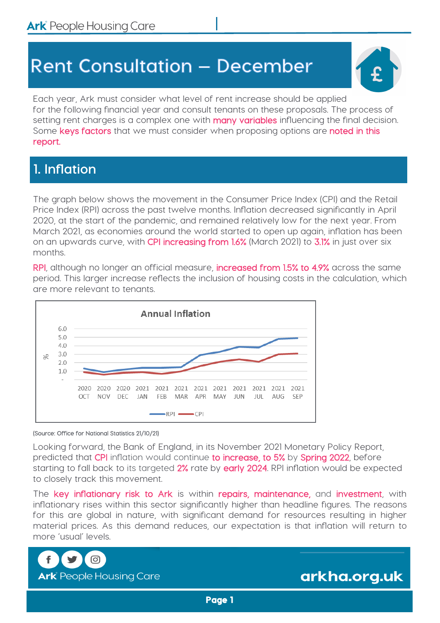# **Rent Consultation - December**



Each year, Ark must consider what level of rent increase should be applied for the following financial year and consult tenants on these proposals. The process of setting rent charges is a complex one with **many variables** influencing the final decision. Some keys factors that we must consider when proposing options are noted in this report.

# **1. Inflation**

The graph below shows the movement in the Consumer Price Index (CPI) and the Retail Price Index (RPI) across the past twelve months. Inflation decreased significantly in April 2020, at the start of the pandemic, and remained relatively low for the next year. From March 2021, as economies around the world started to open up again, inflation has been on an upwards curve, with CPI increasing from 1.6% (March 2021) to 3.1% in just over six months.

RPI, although no longer an official measure, increased from 1.5% to 4.9% across the same period. This larger increase reflects the inclusion of housing costs in the calculation, which are more relevant to tenants.



#### (Source: Office for National Statistics 21/10/21)

Looking forward, the Bank of England, in its November 2021 Monetary Policy Report, predicted that CPI inflation would continue to increase, to 5% by Spring 2022, before starting to fall back to its targeted 2% rate by early 2024. RPI inflation would be expected to closely track this movement.

The key inflationary risk to Ark is within repairs, maintenance, and investment, with inflationary rises within this sector significantly higher than headline figures. The reasons for this are global in nature, with significant demand for resources resulting in higher material prices. As this demand reduces, our expectation is that inflation will return to more 'usual' levels.



arkha.org.uk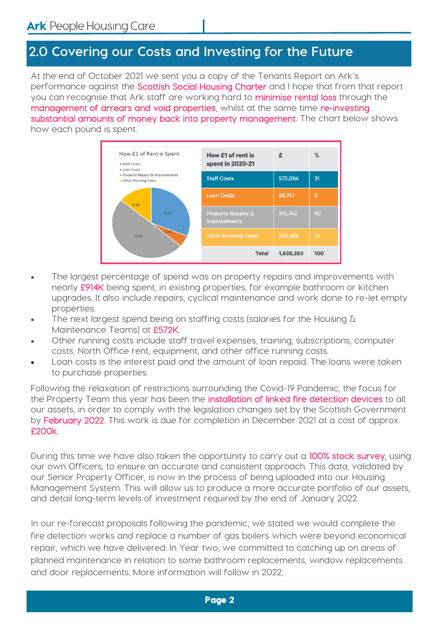### **2.0 Covering our Costs and Investing for the Future**

At the end of October 2021 we sent you a copy of the Tenants Report on Ark's performance against the **Scottish Social Housing Charter** and I hope that from that report you can recognise that Ark staff are working hard to **minimise rental loss** through the management of arrears and void properties, whilst at the same time re-investing substantial amounts of money back into property management. The chart below shows how each pound is spent.



- The largest percentage of spend was on property repairs and improvements with nearly £914K being spent, in existing properties, for example bathroom or kitchen upgrades. It also include repairs, cyclical maintenance and work done to re-let empty properties.
- The next largest spend being on staffing costs (salaries for the Housing  $\delta$ Maintenance Teams) at £572K.
- Other running costs include staff travel expenses, training, subscriptions, computer costs, North Office rent, equipment, and other office running costs.
- Loan costs is the interest paid and the amount of loan repaid. The loans were taken to purchase properties.

Following the relaxation of restrictions surrounding the Covid-19 Pandemic, the focus for the Property Team this year has been the *installation of linked fire detection devices* to all our assets, in order to comply with the legislation changes set by the Scottish Government by February 2022. This work is due for completion in December 2021 at a cost of approx. £200k.

During this time we have also taken the opportunity to carry out a 100% stock survey, using our own Officers, to ensure an accurate and consistent approach. This data, validated by our Senior Property Officer, is now in the process of being uploaded into our Housing Management System. This will allow us to produce a more accurate portfolio of our assets, and detail long-term levels of investment required by the end of January 2022.

In our re-forecast proposals following the pandemic, we stated we would complete the fire detection works and replace a number of gas boilers which were beyond economical repair, which we have delivered. In Year two, we committed to catching up on areas of planned maintenance in relation to some bathroom replacements, window replacements and door replacements. More information will follow in 2022,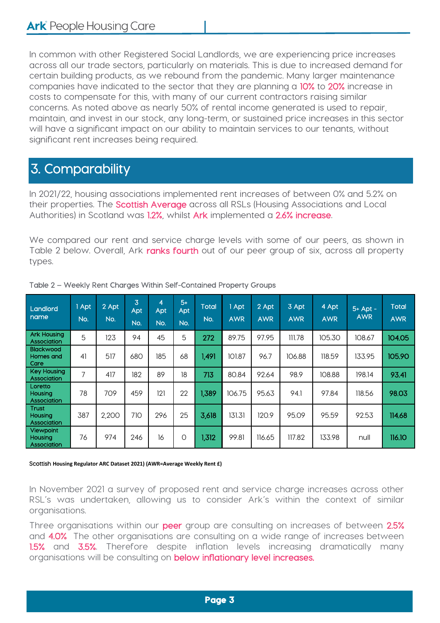In common with other Registered Social Landlords, we are experiencing price increases across all our trade sectors, particularly on materials. This is due to increased demand for certain building products, as we rebound from the pandemic. Many larger maintenance companies have indicated to the sector that they are planning a 10% to 20% increase in costs to compensate for this, with many of our current contractors raising similar concerns. As noted above as nearly 50% of rental income generated is used to repair, maintain, and invest in our stock, any long-term, or sustained price increases in this sector will have a significant impact on our ability to maintain services to our tenants, without significant rent increases being required.

# 3. Comparability

In 2021/22, housing associations implemented rent increases of between 0% and 5.2% on their properties. The **Scottish Average** across all RSLs (Housing Associations and Local Authorities) in Scotland was 1.2%, whilst Ark implemented a 2.6% increase.

We compared our rent and service charge levels with some of our peers, as shown in Table 2 below. Overall, Ark ranks fourth out of our peer group of six, across all property types.

| Landlord<br>name                       | 1 Apt<br>No.   | 2 Apt<br>No. | 3<br>Apt<br>No. | 4<br>Apt<br>No. | $5+$<br>Apt<br>No. | <b>Total</b><br>No. | 1 Apt<br><b>AWR</b> | 2 Apt<br><b>AWR</b> | 3 Apt<br><b>AWR</b> | 4 Apt<br><b>AWR</b> | $5+$ Apt -<br><b>AWR</b> | <b>Total</b><br><b>AWR</b> |
|----------------------------------------|----------------|--------------|-----------------|-----------------|--------------------|---------------------|---------------------|---------------------|---------------------|---------------------|--------------------------|----------------------------|
| <b>Ark Housing</b><br>Association      | 5              | 123          | 94              | 45              | 5                  | 272                 | 89.75               | 97.95               | 111.78              | 105.30              | 108.67                   | 104.05                     |
| <b>Blackwood</b><br>Homes and<br>Care  | 41             | 517          | 680             | 185             | 68                 | 1,491               | 101.87              | 96.7                | 106.88              | 118.59              | 133.95                   | 105.90                     |
| Key Housing<br>Association             | $\overline{ }$ | 417          | 182             | 89              | 18                 | 713                 | 80.84               | 92.64               | 98.9                | 108.88              | 198.14                   | 93.41                      |
| Loretto<br>Housing<br>Association      | 78             | 709          | 459             | 121             | 22                 | 1,389               | 106.75              | 95.63               | 94.1                | 97.84               | 118.56                   | 98.03                      |
| <b>Trust</b><br>Housing<br>Association | 387            | 2,200        | 710             | 296             | 25                 | 3,618               | 131.31              | 120.9               | 95.09               | 95.59               | 92.53                    | 114.68                     |
| Viewpoint<br>Housing<br>Association    | 76             | 974          | 246             | 16              | $\circ$            | 1,312               | 99.81               | 116.65              | 117.82              | 133.98              | null                     | 116.10                     |

Table 2 – Weekly Rent Charges Within Self-Contained Property Groups

#### Scottish **Housing Regulator ARC Dataset 2021) (AWR=Average Weekly Rent £)**

In November 2021 a survey of proposed rent and service charge increases across other RSL's was undertaken, allowing us to consider Ark's within the context of similar organisations.

Three organisations within our peer group are consulting on increases of between 2.5% and 4.0% The other organisations are consulting on a wide range of increases between 1.5% and 3.5%. Therefore despite inflation levels increasing dramatically many organisations will be consulting on **below inflationary level increases.**